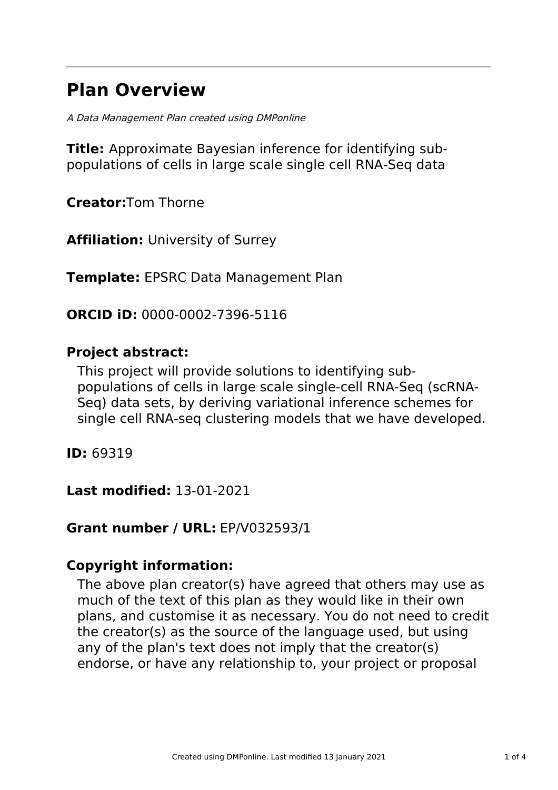# **Plan Overview**

A Data Management Plan created using DMPonline

**Title:** Approximate Bayesian inference for identifying subpopulations of cells in large scale single cell RNA-Seq data

**Creator:**Tom Thorne

**Affiliation:** University of Surrey

**Template:** EPSRC Data Management Plan

**ORCID iD:** 0000-0002-7396-5116

### **Project abstract:**

This project will provide solutions to identifying subpopulations of cells in large scale single-cell RNA-Seq (scRNA-Seq) data sets, by deriving variational inference schemes for single cell RNA-seq clustering models that we have developed.

**ID:** 69319

**Last modified:** 13-01-2021

## **Grant number / URL:** EP/V032593/1

### **Copyright information:**

The above plan creator(s) have agreed that others may use as much of the text of this plan as they would like in their own plans, and customise it as necessary. You do not need to credit the creator(s) as the source of the language used, but using any of the plan's text does not imply that the creator(s) endorse, or have any relationship to, your project or proposal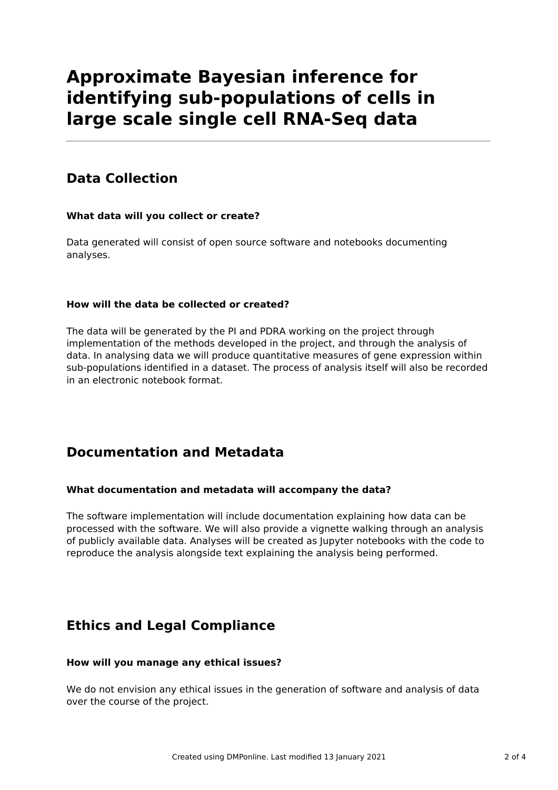# **Approximate Bayesian inference for identifying sub-populations of cells in large scale single cell RNA-Seq data**

# **Data Collection**

### **What data will you collect or create?**

Data generated will consist of open source software and notebooks documenting analyses.

### **How will the data be collected or created?**

The data will be generated by the PI and PDRA working on the project through implementation of the methods developed in the project, and through the analysis of data. In analysing data we will produce quantitative measures of gene expression within sub-populations identified in a dataset. The process of analysis itself will also be recorded in an electronic notebook format.

## **Documentation and Metadata**

### **What documentation and metadata will accompany the data?**

The software implementation will include documentation explaining how data can be processed with the software. We will also provide a vignette walking through an analysis of publicly available data. Analyses will be created as Jupyter notebooks with the code to reproduce the analysis alongside text explaining the analysis being performed.

## **Ethics and Legal Compliance**

### **How will you manage any ethical issues?**

We do not envision any ethical issues in the generation of software and analysis of data over the course of the project.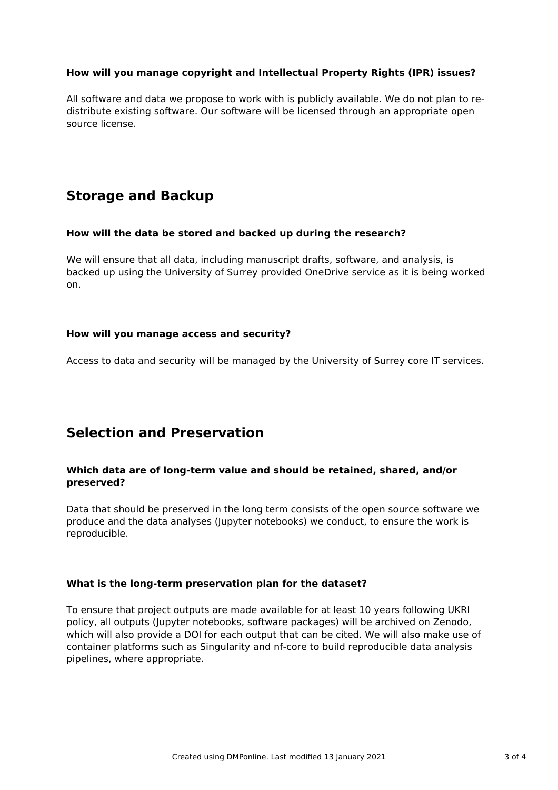### **How will you manage copyright and Intellectual Property Rights (IPR) issues?**

All software and data we propose to work with is publicly available. We do not plan to redistribute existing software. Our software will be licensed through an appropriate open source license.

# **Storage and Backup**

#### **How will the data be stored and backed up during the research?**

We will ensure that all data, including manuscript drafts, software, and analysis, is backed up using the University of Surrey provided OneDrive service as it is being worked on.

#### **How will you manage access and security?**

Access to data and security will be managed by the University of Surrey core IT services.

### **Selection and Preservation**

### **Which data are of long-term value and should be retained, shared, and/or preserved?**

Data that should be preserved in the long term consists of the open source software we produce and the data analyses (Jupyter notebooks) we conduct, to ensure the work is reproducible.

#### **What is the long-term preservation plan for the dataset?**

To ensure that project outputs are made available for at least 10 years following UKRI policy, all outputs (Jupyter notebooks, software packages) will be archived on Zenodo, which will also provide a DOI for each output that can be cited. We will also make use of container platforms such as Singularity and nf-core to build reproducible data analysis pipelines, where appropriate.